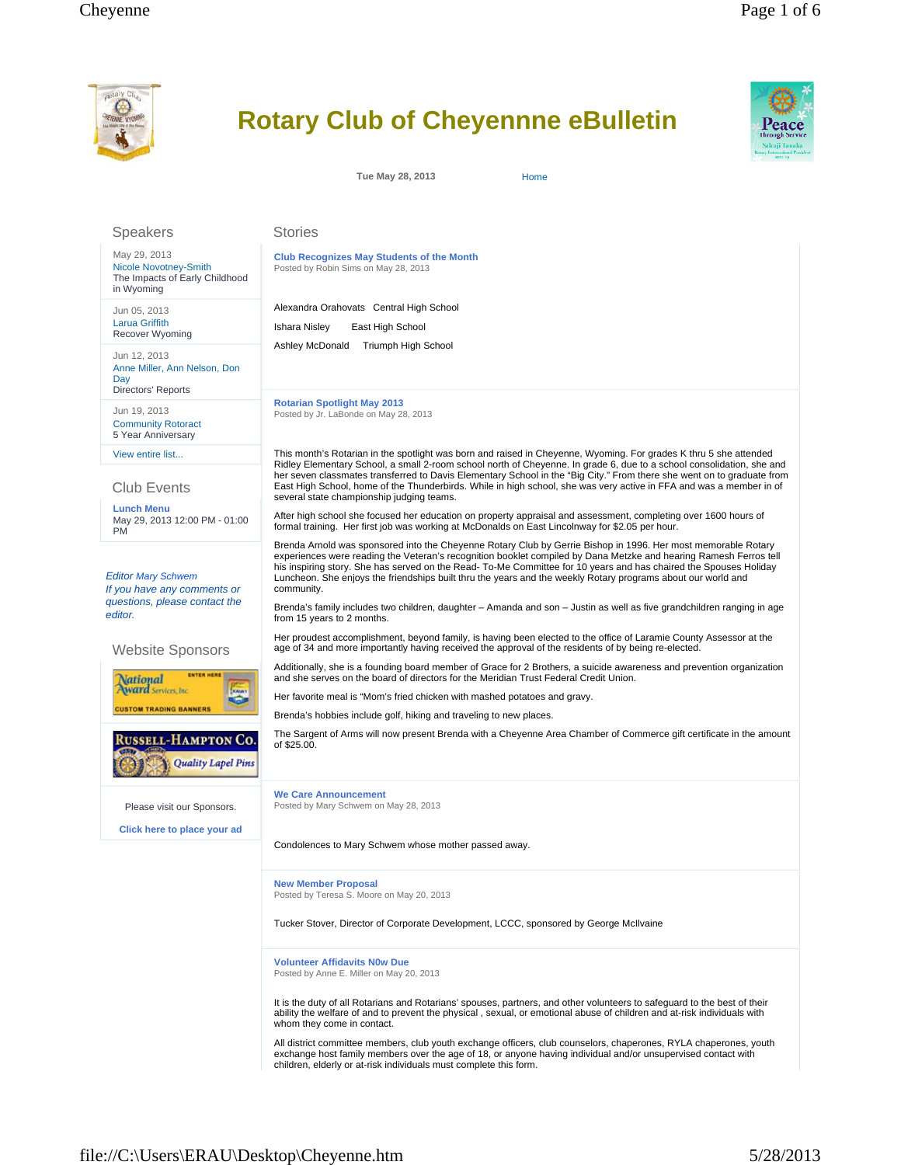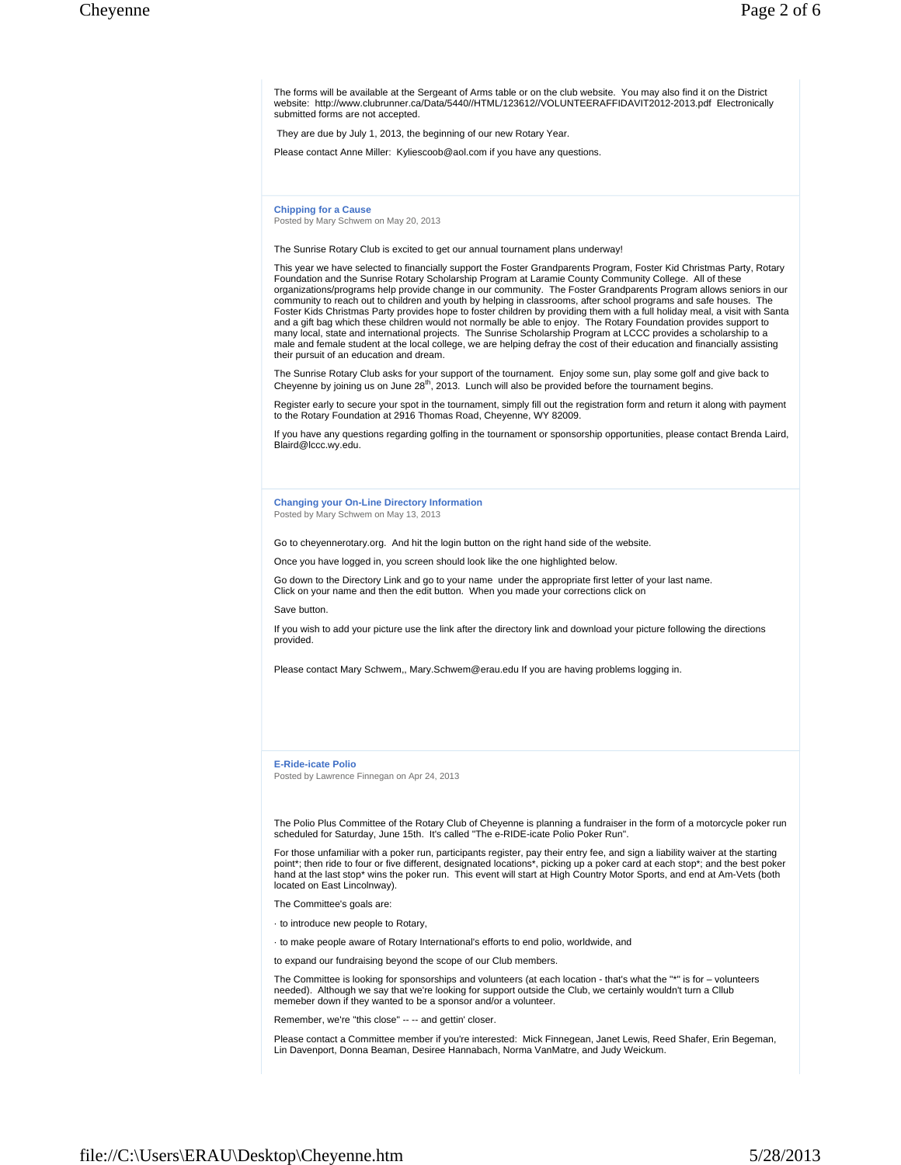The forms will be available at the Sergeant of Arms table or on the club website. You may also find it on the District website: http://www.clubrunner.ca/Data/5440//HTML/123612//VOLUNTEERAFFIDAVIT2012-2013.pdf Electronically submitted forms are not accepted.

They are due by July 1, 2013, the beginning of our new Rotary Year.

Please contact Anne Miller: Kyliescoob@aol.com if you have any questions.

**Chipping for a Cause** Posted by Mary Schwem on May 20, 2013

The Sunrise Rotary Club is excited to get our annual tournament plans underway!

This year we have selected to financially support the Foster Grandparents Program, Foster Kid Christmas Party, Rotary Foundation and the Sunrise Rotary Scholarship Program at Laramie County Community College. All of these organizations/programs help provide change in our community. The Foster Grandparents Program allows seniors in our community to reach out to children and youth by helping in classrooms, after school programs and safe houses. The<br>Foster Kids Christmas Party provides hope to foster children by providing them with a full holiday meal, a v many local, state and international projects. The Sunrise Scholarship Program at LCCC provides a scholarship to a male and female student at the local college, we are helping defray the cost of their education and financially assisting their pursuit of an education and dream.

The Sunrise Rotary Club asks for your support of the tournament. Enjoy some sun, play some golf and give back to Cheyenne by joining us on June 28<sup>th</sup>, 2013. Lunch will also be provided before the tournament begins.

Register early to secure your spot in the tournament, simply fill out the registration form and return it along with payment to the Rotary Foundation at 2916 Thomas Road, Cheyenne, WY 82009.

If you have any questions regarding golfing in the tournament or sponsorship opportunities, please contact Brenda Laird, Blaird@lccc.wy.edu.

**Changing your On-Line Directory Information** Posted by Mary Schwem on May 13, 2013

Go to cheyennerotary.org. And hit the login button on the right hand side of the website.

Once you have logged in, you screen should look like the one highlighted below.

Go down to the Directory Link and go to your name under the appropriate first letter of your last name. Click on your name and then the edit button. When you made your corrections click on

Save button.

If you wish to add your picture use the link after the directory link and download your picture following the directions provided.

Please contact Mary Schwem,, Mary.Schwem@erau.edu If you are having problems logging in.

**E-Ride-icate Polio**

Posted by Lawrence Finnegan on Apr 24, 2013

The Polio Plus Committee of the Rotary Club of Cheyenne is planning a fundraiser in the form of a motorcycle poker run scheduled for Saturday, June 15th. It's called "The e-RIDE-icate Polio Poker Run".

For those unfamiliar with a poker run, participants register, pay their entry fee, and sign a liability waiver at the starting point\*; then ride to four or five different, designated locations\*, picking up a poker card at each stop\*; and the best poker<br>hand at the last stop\* wins the poker run. This event will start at High Country Motor Sports, located on East Lincolnway).

The Committee's goals are:

· to introduce new people to Rotary,

· to make people aware of Rotary International's efforts to end polio, worldwide, and

to expand our fundraising beyond the scope of our Club members.

The Committee is looking for sponsorships and volunteers (at each location - that's what the "\*" is for – volunteers needed). Although we say that we're looking for support outside the Club, we certainly wouldn't turn a Cllub memeber down if they wanted to be a sponsor and/or a volunteer.

Remember, we're "this close" -- -- and gettin' closer.

Please contact a Committee member if you're interested: Mick Finnegean, Janet Lewis, Reed Shafer, Erin Begeman, Lin Davenport, Donna Beaman, Desiree Hannabach, Norma VanMatre, and Judy Weickum.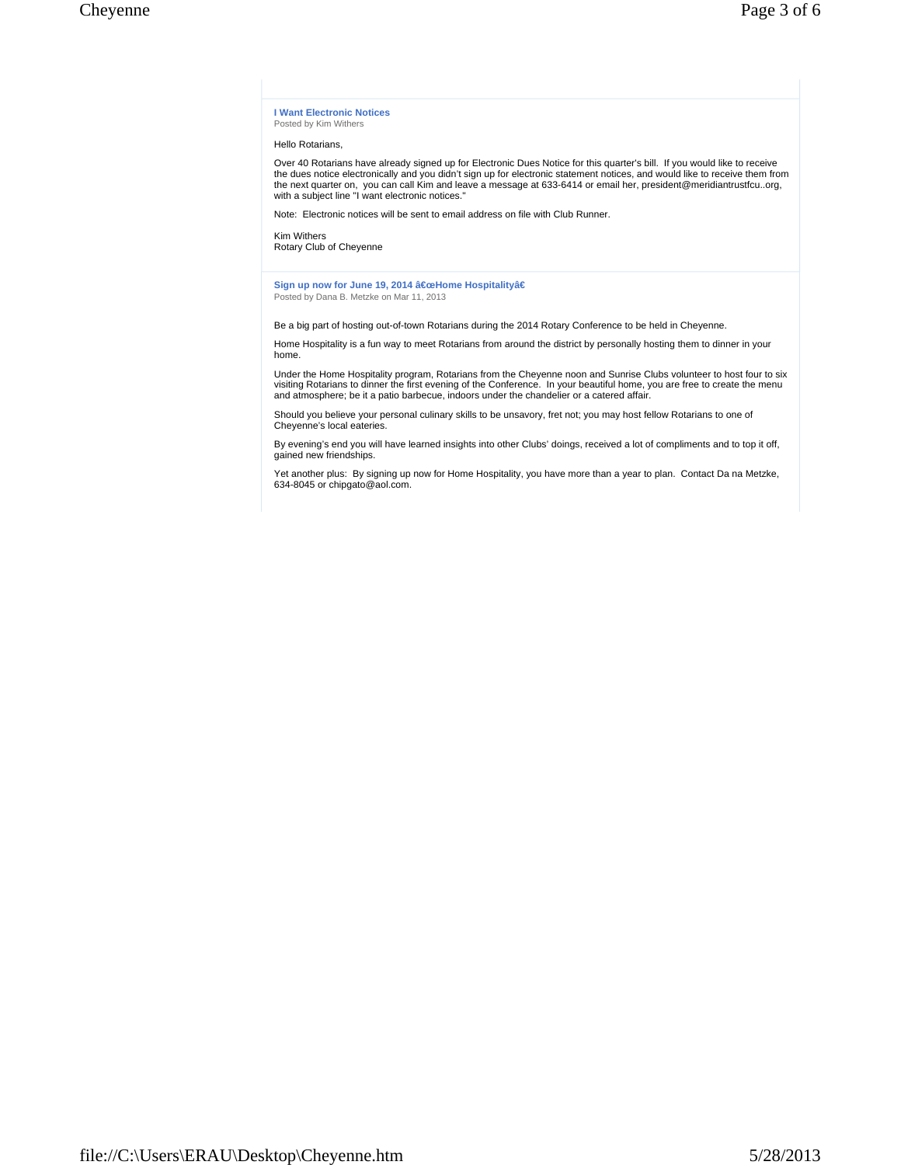**I Want Electronic Notices** Posted by Kim Withers

Hello Rotarians,

Over 40 Rotarians have already signed up for Electronic Dues Notice for this quarter's bill. If you would like to receive the dues notice electronically and you didn't sign up for electronic statement notices, and would like to receive them from the next quarter on, you can call Kim and leave a message at 633-6414 or email her, president@meridiantrustfcu..org, with a subject line "I want electronic notices."

Note: Electronic notices will be sent to email address on file with Club Runner.

Kim Withers

Rotary Club of Cheyenne

Sign up now for June 19, 2014 "Home Hospitalityâ€ Posted by Dana B. Metzke on Mar 11, 2013

Be a big part of hosting out-of-town Rotarians during the 2014 Rotary Conference to be held in Cheyenne.

Home Hospitality is a fun way to meet Rotarians from around the district by personally hosting them to dinner in your home.

Under the Home Hospitality program, Rotarians from the Cheyenne noon and Sunrise Clubs volunteer to host four to six visiting Rotarians to dinner the first evening of the Conference. In your beautiful home, you are free to create the menu and atmosphere; be it a patio barbecue, indoors under the chandelier or a catered affair.

Should you believe your personal culinary skills to be unsavory, fret not; you may host fellow Rotarians to one of Cheyenne's local eateries.

By evening's end you will have learned insights into other Clubs' doings, received a lot of compliments and to top it off, gained new friendships.

Yet another plus: By signing up now for Home Hospitality, you have more than a year to plan. Contact Da na Metzke, 634-8045 or chipgato@aol.com.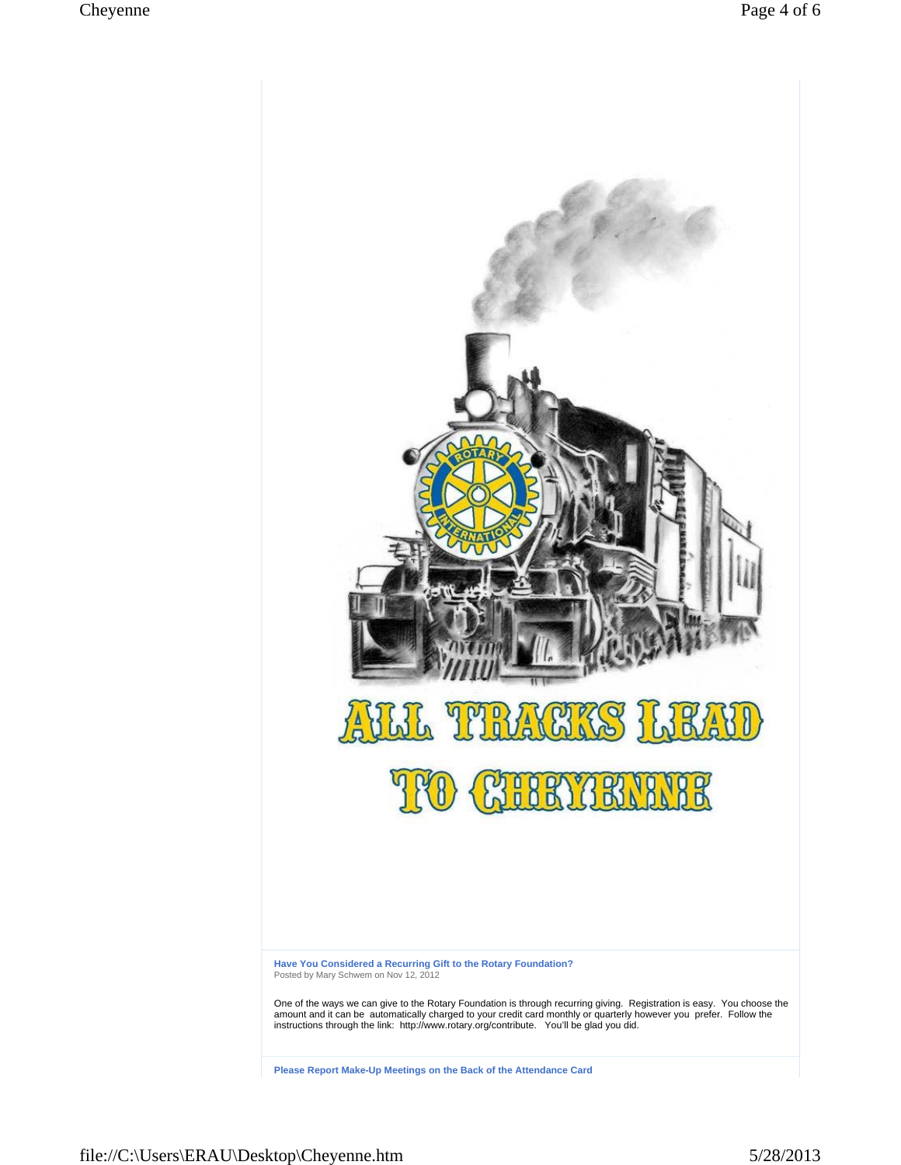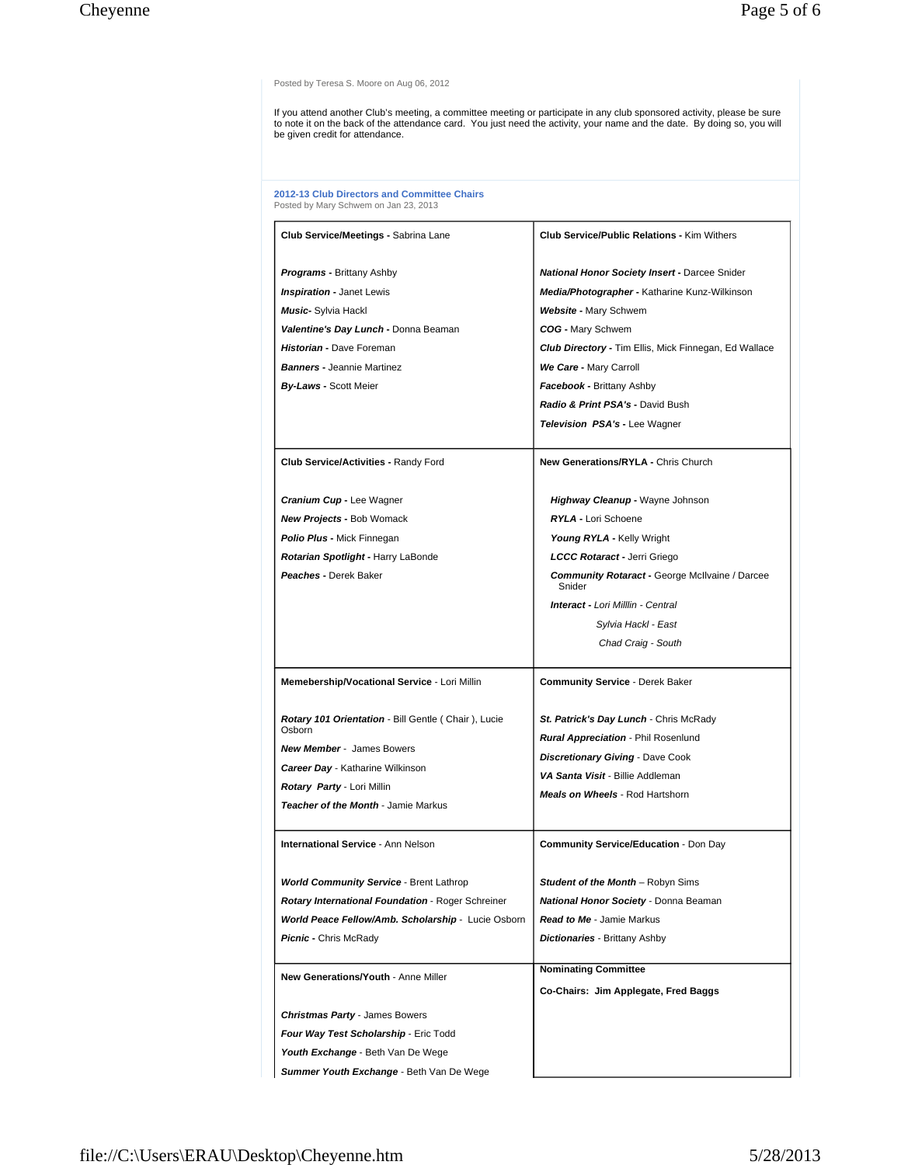Posted by Teresa S. Moore on Aug 06, 2012

If you attend another Club's meeting, a committee meeting or participate in any club sponsored activity, please be sure<br>to note it on the back of the attendance card. You just need the activity, your name and the date. By

**2012-13 Club Directors and Committee Chairs** Posted by Mary Schwem on Jan 23, 2013

| Club Service/Meetings - Sabrina Lane                                           | <b>Club Service/Public Relations - Kim Withers</b>              |
|--------------------------------------------------------------------------------|-----------------------------------------------------------------|
| <b>Programs - Brittany Ashby</b>                                               | <b>National Honor Society Insert - Darcee Snider</b>            |
| <b>Inspiration - Janet Lewis</b>                                               | Media/Photographer - Katharine Kunz-Wilkinson                   |
| Music- Sylvia Hackl                                                            | Website - Mary Schwem                                           |
| Valentine's Day Lunch - Donna Beaman                                           | COG - Mary Schwem                                               |
| Historian - Dave Foreman                                                       | <b>Club Directory - Tim Ellis, Mick Finnegan, Ed Wallace</b>    |
| <b>Banners - Jeannie Martinez</b>                                              | We Care - Mary Carroll                                          |
| <b>By-Laws - Scott Meier</b>                                                   | Facebook - Brittany Ashby                                       |
|                                                                                | Radio & Print PSA's - David Bush                                |
|                                                                                | <b>Television PSA's - Lee Wagner</b>                            |
| Club Service/Activities - Randy Ford                                           | <b>New Generations/RYLA - Chris Church</b>                      |
|                                                                                |                                                                 |
| <b>Cranium Cup - Lee Wagner</b>                                                | Highway Cleanup - Wayne Johnson                                 |
| <b>New Projects - Bob Womack</b>                                               | RYLA - Lori Schoene                                             |
| <b>Polio Plus - Mick Finnegan</b>                                              | Young RYLA - Kelly Wright                                       |
| Rotarian Spotlight - Harry LaBonde                                             | LCCC Rotaract - Jerri Griego                                    |
| Peaches - Derek Baker                                                          | <b>Community Rotaract - George McIlvaine / Darcee</b><br>Snider |
|                                                                                | <b>Interact - Lori Milllin - Central</b>                        |
|                                                                                | Sylvia Hackl - East                                             |
|                                                                                | Chad Craig - South                                              |
|                                                                                |                                                                 |
| Memebership/Vocational Service - Lori Millin                                   | <b>Community Service - Derek Baker</b>                          |
| Rotary 101 Orientation - Bill Gentle (Chair), Lucie<br>Osborn                  | St. Patrick's Day Lunch - Chris McRady                          |
| <b>New Member - James Bowers</b>                                               | Rural Appreciation - Phil Rosenlund                             |
| <b>Career Day - Katharine Wilkinson</b>                                        | <b>Discretionary Giving - Dave Cook</b>                         |
| <b>Rotary Party - Lori Millin</b>                                              | VA Santa Visit - Billie Addleman                                |
| Teacher of the Month - Jamie Markus                                            | <b>Meals on Wheels</b> - Rod Hartshorn                          |
|                                                                                |                                                                 |
| International Service - Ann Nelson                                             | <b>Community Service/Education - Don Day</b>                    |
| <b>World Community Service - Brent Lathrop</b>                                 | Student of the Month - Robyn Sims                               |
| Rotary International Foundation - Roger Schreiner                              | National Honor Society - Donna Beaman                           |
| World Peace Fellow/Amb. Scholarship - Lucie Osborn                             | <b>Read to Me - Jamie Markus</b>                                |
| <b>Picnic -</b> Chris McRady                                                   | <b>Dictionaries</b> - Brittany Ashby                            |
|                                                                                | <b>Nominating Committee</b>                                     |
| New Generations/Youth - Anne Miller                                            |                                                                 |
|                                                                                | Co-Chairs: Jim Applegate, Fred Baggs                            |
| <b>Christmas Party - James Bowers</b><br>Four Way Test Scholarship - Eric Todd |                                                                 |
|                                                                                |                                                                 |
| Youth Exchange - Beth Van De Wege                                              |                                                                 |
| Summer Youth Exchange - Beth Van De Wege                                       |                                                                 |